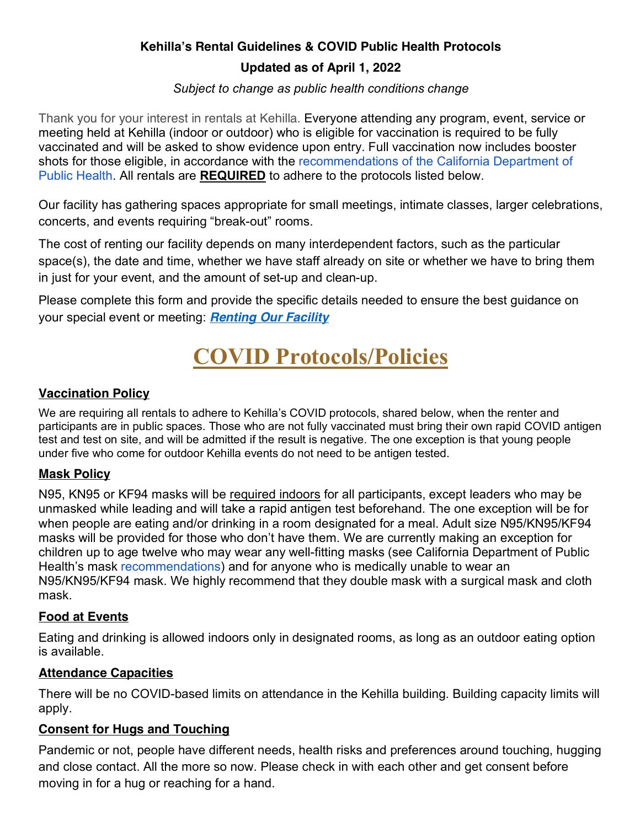# **Kehilla's Rental Guidelines & COVID Public Health Protocols**

## **Updated as of April 1, 2022**

*Subject to change as public health conditions change*

Thank you for your interest in rentals at Kehilla. Everyone attending any program, event, service or meeting held at Kehilla (indoor or outdoor) who is eligible for vaccination is required to be fully vaccinated and will be asked to show evidence upon entry. Full vaccination now includes booster shots for those eligible, in accordance with the recommendations of the California Department of Public Health. All rentals are **REQUIRED** to adhere to the protocols listed below.

Our facility has gathering spaces appropriate for small meetings, intimate classes, larger celebrations, concerts, and events requiring "break-out" rooms.

The cost of renting our facility depends on many interdependent factors, such as the particular space(s), the date and time, whether we have staff already on site or whether we have to bring them in just for your event, and the amount of set-up and clean-up.

Please complete this form and provide the specific details needed to ensure the best guidance on your special event or meeting: *Renting Our Facility*

# **COVID Protocols/Policies**

#### **Vaccination Policy**

We are requiring all rentals to adhere to Kehilla's COVID protocols, shared below, when the renter and participants are in public spaces. Those who are not fully vaccinated must bring their own rapid COVID antigen test and test on site, and will be admitted if the result is negative. The one exception is that young people under five who come for outdoor Kehilla events do not need to be antigen tested.

## **Mask Policy**

N95, KN95 or KF94 masks will be required indoors for all participants, except leaders who may be unmasked while leading and will take a rapid antigen test beforehand. The one exception will be for when people are eating and/or drinking in a room designated for a meal. Adult size N95/KN95/KF94 masks will be provided for those who don't have them. We are currently making an exception for children up to age twelve who may wear any well-fitting masks (see California Department of Public Health's mask recommendations) and for anyone who is medically unable to wear an N95/KN95/KF94 mask. We highly recommend that they double mask with a surgical mask and cloth mask.

## **Food at Events**

Eating and drinking is allowed indoors only in designated rooms, as long as an outdoor eating option is available.

#### **Attendance Capacities**

There will be no COVID-based limits on attendance in the Kehilla building. Building capacity limits will apply.

#### **Consent for Hugs and Touching**

Pandemic or not, people have different needs, health risks and preferences around touching, hugging and close contact. All the more so now. Please check in with each other and get consent before moving in for a hug or reaching for a hand.